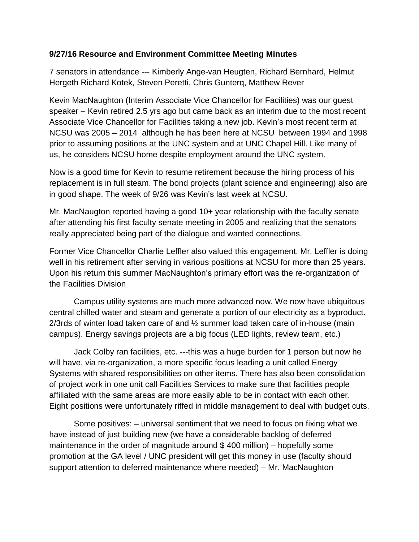### **9/27/16 Resource and Environment Committee Meeting Minutes**

7 senators in attendance --- Kimberly Ange-van Heugten, Richard Bernhard, Helmut Hergeth Richard Kotek, Steven Peretti, Chris Gunterq, Matthew Rever

Kevin MacNaughton (Interim Associate Vice Chancellor for Facilities) was our guest speaker – Kevin retired 2.5 yrs ago but came back as an interim due to the most recent Associate Vice Chancellor for Facilities taking a new job. Kevin's most recent term at NCSU was 2005 – 2014 although he has been here at NCSU between 1994 and 1998 prior to assuming positions at the UNC system and at UNC Chapel Hill. Like many of us, he considers NCSU home despite employment around the UNC system.

Now is a good time for Kevin to resume retirement because the hiring process of his replacement is in full steam. The bond projects (plant science and engineering) also are in good shape. The week of 9/26 was Kevin's last week at NCSU.

Mr. MacNaugton reported having a good 10+ year relationship with the faculty senate after attending his first faculty senate meeting in 2005 and realizing that the senators really appreciated being part of the dialogue and wanted connections.

Former Vice Chancellor Charlie Leffler also valued this engagement. Mr. Leffler is doing well in his retirement after serving in various positions at NCSU for more than 25 years. Upon his return this summer MacNaughton's primary effort was the re-organization of the Facilities Division

Campus utility systems are much more advanced now. We now have ubiquitous central chilled water and steam and generate a portion of our electricity as a byproduct. 2/3rds of winter load taken care of and ½ summer load taken care of in-house (main campus). Energy savings projects are a big focus (LED lights, review team, etc.)

Jack Colby ran facilities, etc. ---this was a huge burden for 1 person but now he will have, via re-organization, a more specific focus leading a unit called Energy Systems with shared responsibilities on other items. There has also been consolidation of project work in one unit call Facilities Services to make sure that facilities people affiliated with the same areas are more easily able to be in contact with each other. Eight positions were unfortunately riffed in middle management to deal with budget cuts.

Some positives: – universal sentiment that we need to focus on fixing what we have instead of just building new (we have a considerable backlog of deferred maintenance in the order of magnitude around \$ 400 million) – hopefully some promotion at the GA level / UNC president will get this money in use (faculty should support attention to deferred maintenance where needed) – Mr. MacNaughton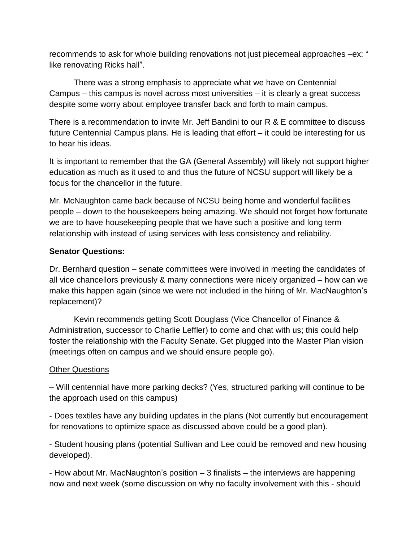recommends to ask for whole building renovations not just piecemeal approaches –ex: " like renovating Ricks hall".

There was a strong emphasis to appreciate what we have on Centennial Campus – this campus is novel across most universities – it is clearly a great success despite some worry about employee transfer back and forth to main campus.

There is a recommendation to invite Mr. Jeff Bandini to our R & E committee to discuss future Centennial Campus plans. He is leading that effort – it could be interesting for us to hear his ideas.

It is important to remember that the GA (General Assembly) will likely not support higher education as much as it used to and thus the future of NCSU support will likely be a focus for the chancellor in the future.

Mr. McNaughton came back because of NCSU being home and wonderful facilities people – down to the housekeepers being amazing. We should not forget how fortunate we are to have housekeeping people that we have such a positive and long term relationship with instead of using services with less consistency and reliability.

# **Senator Questions:**

Dr. Bernhard question – senate committees were involved in meeting the candidates of all vice chancellors previously & many connections were nicely organized – how can we make this happen again (since we were not included in the hiring of Mr. MacNaughton's replacement)?

Kevin recommends getting Scott Douglass (Vice Chancellor of Finance & Administration, successor to Charlie Leffler) to come and chat with us; this could help foster the relationship with the Faculty Senate. Get plugged into the Master Plan vision (meetings often on campus and we should ensure people go).

## Other Questions

– Will centennial have more parking decks? (Yes, structured parking will continue to be the approach used on this campus)

- Does textiles have any building updates in the plans (Not currently but encouragement for renovations to optimize space as discussed above could be a good plan).

- Student housing plans (potential Sullivan and Lee could be removed and new housing developed).

- How about Mr. MacNaughton's position – 3 finalists – the interviews are happening now and next week (some discussion on why no faculty involvement with this - should